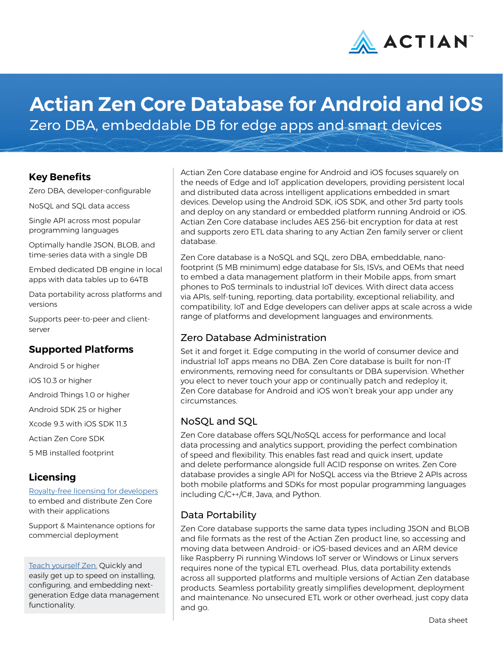

# **Actian Zen Core Database for Android and iOS**

Zero DBA, embeddable DB for edge apps and smart devices

#### **Key Benefits**

Zero DBA, developer-configurable

NoSQL and SQL data access

Single API across most popular programming languages

Optimally handle JSON, BLOB, and time-series data with a single DB

Embed dedicated DB engine in local apps with data tables up to 64TB

Data portability across platforms and versions

Supports peer-to-peer and clientserver

## **Supported Platforms**

Android 5 or higher iOS 10.3 or higher Android Things 1.0 or higher Android SDK 25 or higher Xcode 9.3 with iOS SDK 11.3 Actian Zen Core SDK 5 MB installed footprint

# **Licensing**

[Royalty-free licensing for developers](https://go.actian.com/ZenCoreFree-Development.html) to embed and distribute Zen Core with their applications

Support & Maintenance options for commercial deployment

[Teach yourself Zen.](http://zendocs.actian.com) Quickly and easily get up to speed on installing, configuring, and embedding nextgeneration Edge data management functionality.

Actian Zen Core database engine for Android and iOS focuses squarely on the needs of Edge and IoT application developers, providing persistent local and distributed data across intelligent applications embedded in smart devices. Develop using the Android SDK, iOS SDK, and other 3rd party tools and deploy on any standard or embedded platform running Android or iOS. Actian Zen Core database includes AES 256-bit encryption for data at rest and supports zero ETL data sharing to any Actian Zen family server or client database.

Zen Core database is a NoSQL and SQL, zero DBA, embeddable, nanofootprint (5 MB minimum) edge database for SIs, ISVs, and OEMs that need to embed a data management platform in their Mobile apps, from smart phones to PoS terminals to industrial IoT devices. With direct data access via APIs, self-tuning, reporting, data portability, exceptional reliability, and compatibility, IoT and Edge developers can deliver apps at scale across a wide range of platforms and development languages and environments.

## Zero Database Administration

Set it and forget it. Edge computing in the world of consumer device and industrial IoT apps means no DBA. Zen Core database is built for non-IT environments, removing need for consultants or DBA supervision. Whether you elect to never touch your app or continually patch and redeploy it, Zen Core database for Android and iOS won't break your app under any circumstances.

## NoSQL and SQL

Zen Core database offers SQL/NoSQL access for performance and local data processing and analytics support, providing the perfect combination of speed and flexibility. This enables fast read and quick insert, update and delete performance alongside full ACID response on writes. Zen Core database provides a single API for NoSQL access via the Btrieve 2 APIs across both mobile platforms and SDKs for most popular programming languages including C/C++/C#, Java, and Python.

## Data Portability

Zen Core database supports the same data types including JSON and BLOB and file formats as the rest of the Actian Zen product line, so accessing and moving data between Android- or iOS-based devices and an ARM device like Raspberry Pi running Windows IoT server or Windows or Linux servers requires none of the typical ETL overhead. Plus, data portability extends across all supported platforms and multiple versions of Actian Zen database products. Seamless portability greatly simplifies development, deployment and maintenance. No unsecured ETL work or other overhead, just copy data and go.